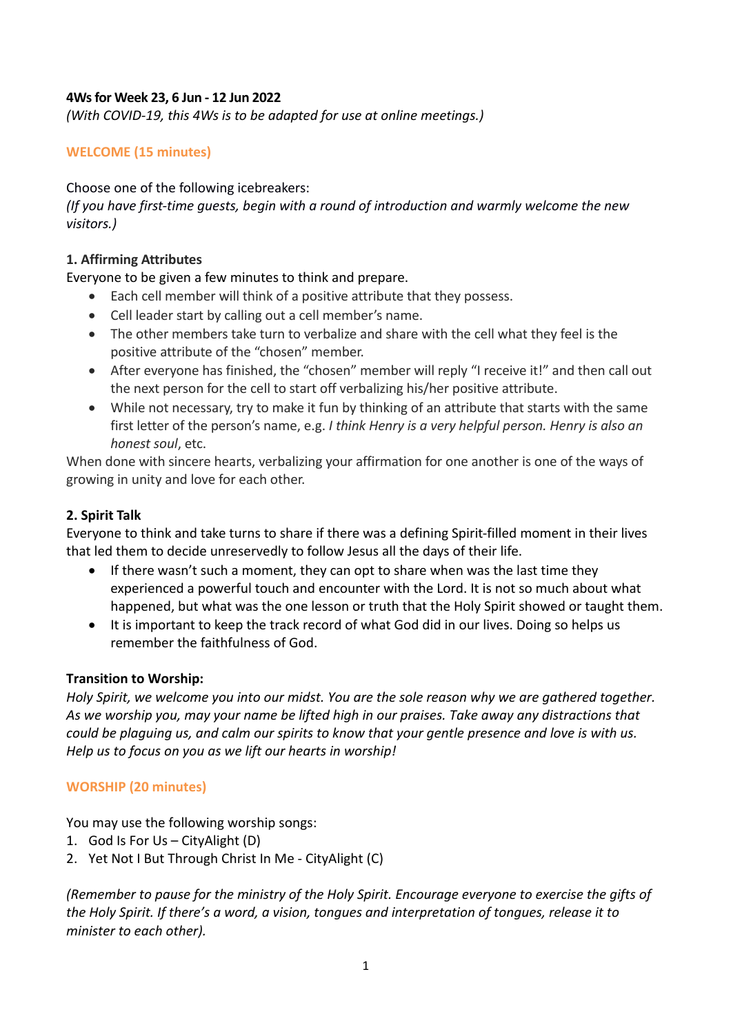# **4Ws for Week 23, 6 Jun - 12 Jun 2022**

*(With COVID-19, this 4Ws is to be adapted for use at online meetings.)*

# **WELCOME (15 minutes)**

# Choose one of the following icebreakers:

*(If you have first-time guests, begin with a round of introduction and warmly welcome the new visitors.)*

# **1. Affirming Attributes**

Everyone to be given a few minutes to think and prepare.

- Each cell member will think of a positive attribute that they possess.
- Cell leader start by calling out a cell member's name.
- The other members take turn to verbalize and share with the cell what they feel is the positive attribute of the "chosen" member.
- After everyone has finished, the "chosen" member will reply "I receive it!" and then call out the next person for the cell to start off verbalizing his/her positive attribute.
- While not necessary, try to make it fun by thinking of an attribute that starts with the same first letter of the person's name, e.g. *I think Henry is a very helpful person. Henry is also an honest soul*, etc.

When done with sincere hearts, verbalizing your affirmation for one another is one of the ways of growing in unity and love for each other.

## **2. Spirit Talk**

Everyone to think and take turns to share if there was a defining Spirit-filled moment in their lives that led them to decide unreservedly to follow Jesus all the days of their life.

- If there wasn't such a moment, they can opt to share when was the last time they experienced a powerful touch and encounter with the Lord. It is not so much about what happened, but what was the one lesson or truth that the Holy Spirit showed or taught them.
- It is important to keep the track record of what God did in our lives. Doing so helps us remember the faithfulness of God.

## **Transition to Worship:**

*Holy Spirit, we welcome you into our midst. You are the sole reason why we are gathered together. As we worship you, may your name be lifted high in our praises. Take away any distractions that could be plaguing us, and calm our spirits to know that your gentle presence and love is with us. Help us to focus on you as we lift our hearts in worship!*

# **WORSHIP (20 minutes)**

You may use the following worship songs:

- 1. God Is For Us CityAlight (D)
- 2. Yet Not I But Through Christ In Me CityAlight (C)

*(Remember to pause for the ministry of the Holy Spirit. Encourage everyone to exercise the gifts of the Holy Spirit. If there's a word, a vision, tongues and interpretation of tongues, release it to minister to each other).*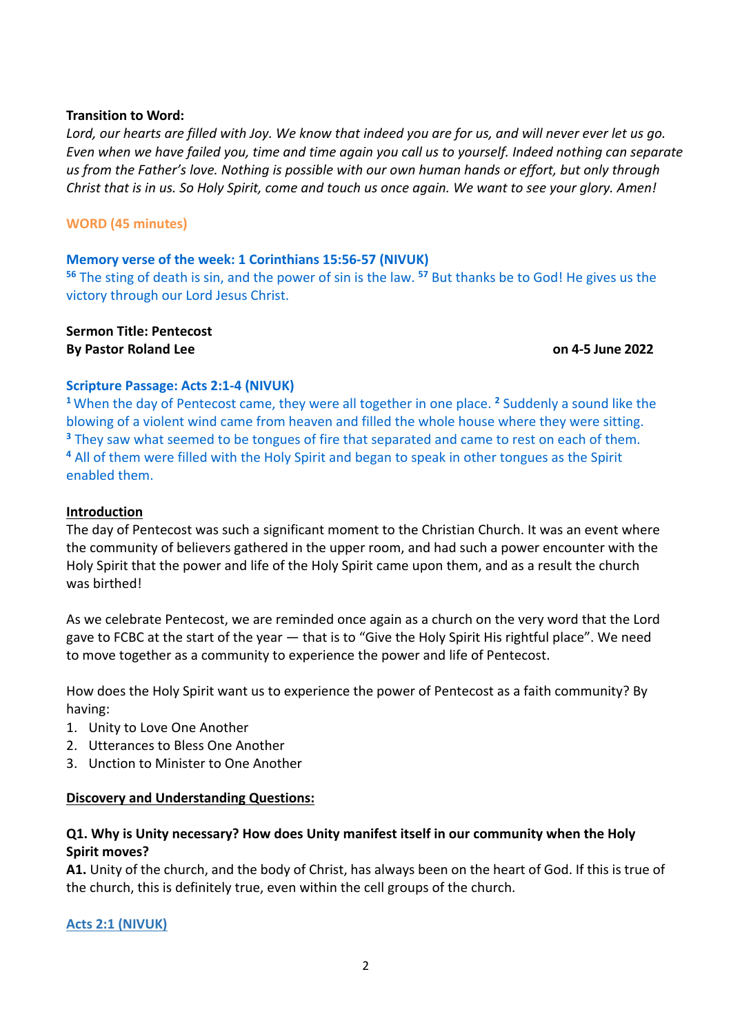#### $\overline{2}$

## **Transition to Word:**

*Lord, our hearts are filled with Joy. We know that indeed you are for us, and will never ever let us go. Even when we have failed you, time and time again you call us to yourself. Indeed nothing can separate us from the Father's love. Nothing is possible with our own human hands or effort, but only through Christ that is in us. So Holy Spirit, come and touch us once again. We want to see your glory. Amen!*

## **WORD (45 minutes)**

## **Memory verse of the week: 1 Corinthians 15:56-57 (NIVUK)**

**<sup>56</sup>** The sting of death is sin, and the power of sin is the law. **<sup>57</sup>** But thanks be to God! He gives us the victory through our Lord Jesus Christ.

## **Sermon Title: Pentecost By Pastor Roland Lee on 4-5 June 2022**

## **Scripture Passage: Acts 2:1-4 (NIVUK)**

**<sup>1</sup>**When the day of Pentecost came, they were all together in one place. **<sup>2</sup>** Suddenly a sound like the blowing of a violent wind came from heaven and filled the whole house where they were sitting. **<sup>3</sup>** They saw what seemed to be tongues of fire that separated and came to rest on each of them. **<sup>4</sup>** All of them were filled with the Holy Spirit and began to speak in other tongues as the Spirit enabled them.

## **Introduction**

The day of Pentecost was such a significant moment to the Christian Church. It was an event where the community of believers gathered in the upper room, and had such a power encounter with the Holy Spirit that the power and life of the Holy Spirit came upon them, and as a result the church was birthed!

As we celebrate Pentecost, we are reminded once again as a church on the very word that the Lord gave to FCBC at the start of the year — that is to "Give the Holy Spirit His rightful place". We need to move together as a community to experience the power and life of Pentecost.

How does the Holy Spirit want us to experience the power of Pentecost as a faith community? By having:

- 1. Unity to Love One Another
- 2. Utterances to Bless One Another
- 3. Unction to Minister to One Another

## **Discovery and Understanding Questions:**

## **Q1. Why is Unity necessary? How does Unity manifest itself in our community when the Holy Spirit moves?**

**A1.** Unity of the church, and the body of Christ, has always been on the heart of God. If this is true of the church, this is definitely true, even within the cell groups of the church.

## **Acts 2:1 (NIVUK)**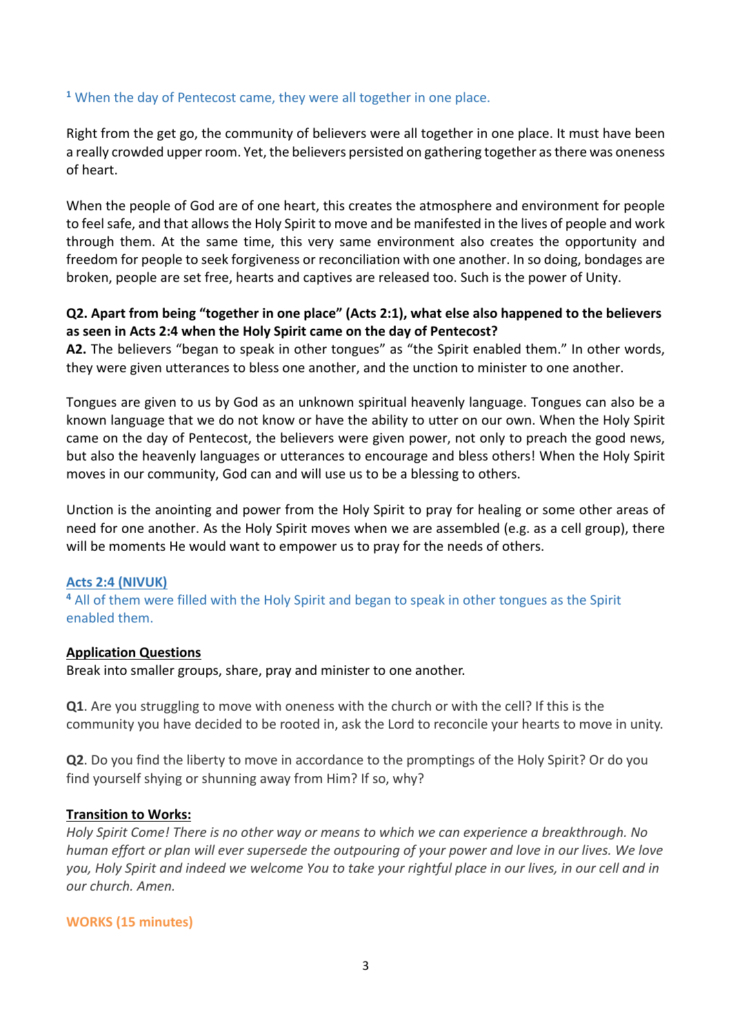## **<sup>1</sup>** When the day of Pentecost came, they were all together in one place.

Right from the get go, the community of believers were all together in one place. It must have been a really crowded upper room. Yet, the believers persisted on gathering together as there was oneness of heart.

When the people of God are of one heart, this creates the atmosphere and environment for people to feel safe, and that allowsthe Holy Spirit to move and be manifested in the lives of people and work through them. At the same time, this very same environment also creates the opportunity and freedom for people to seek forgiveness or reconciliation with one another. In so doing, bondages are broken, people are set free, hearts and captives are released too. Such is the power of Unity.

# **Q2. Apart from being "together in one place" (Acts 2:1), what else also happened to the believers as seen in Acts 2:4 when the Holy Spirit came on the day of Pentecost?**

**A2.** The believers "began to speak in other tongues" as "the Spirit enabled them." In other words, they were given utterances to bless one another, and the unction to minister to one another.

Tongues are given to us by God as an unknown spiritual heavenly language. Tongues can also be a known language that we do not know or have the ability to utter on our own. When the Holy Spirit came on the day of Pentecost, the believers were given power, not only to preach the good news, but also the heavenly languages or utterances to encourage and bless others! When the Holy Spirit moves in our community, God can and will use us to be a blessing to others.

Unction is the anointing and power from the Holy Spirit to pray for healing or some other areas of need for one another. As the Holy Spirit moves when we are assembled (e.g. as a cell group), there will be moments He would want to empower us to pray for the needs of others.

# **Acts 2:4 (NIVUK)**

**<sup>4</sup>** All of them were filled with the Holy Spirit and began to speak in other tongues as the Spirit enabled them.

## **Application Questions**

Break into smaller groups, share, pray and minister to one another.

**Q1**. Are you struggling to move with oneness with the church or with the cell? If this is the community you have decided to be rooted in, ask the Lord to reconcile your hearts to move in unity.

**Q2**. Do you find the liberty to move in accordance to the promptings of the Holy Spirit? Or do you find yourself shying or shunning away from Him? If so, why?

## **Transition to Works:**

*Holy Spirit Come! There is no other way or means to which we can experience a breakthrough. No human effort or plan will ever supersede the outpouring of your power and love in our lives. We love you, Holy Spirit and indeed we welcome You to take your rightful place in our lives, in our cell and in our church. Amen.*

## **WORKS (15 minutes)**